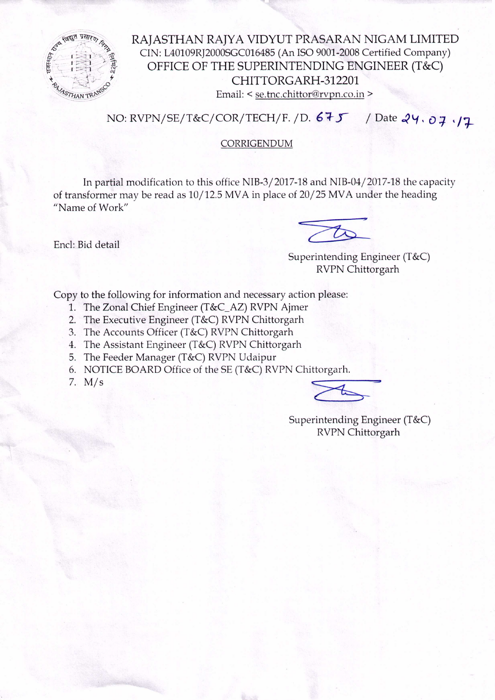

RAJASTHAN RAJYA VIDYUT PRASARAN NIGAM LIMITED CIN: L40109RJ2000SGC016485 (An ISO 9001-2008 Certified Company) OFFICE OF THE SUPERINTENDING ENGINEER (T&C) CHITTORGARH -312201 Email: < se.tnc.chittor@rvpn.co.in >

NO: RVPN/SE/T&C/COR/TECH/F. /D. 675 / Date 24. 07. 17

## CORRIGENDUM

In partial modification to this office NIB-3/2017-18 and NIB-04/2017-18 the capacity of transformer may be read as 10/12.5 MVA in place of 20/25 MVA under the heading "Name of Work"

Encl: Bid detail

Superintending Engineer (T&C) RVPN Chittorgarh

Copy to the following for information and necessary action please:

- 1. The Zonal Chief Engineer (T&C\_AZ) RVPN Ajmer
- 2. The Executive Engineer (T&C) RVPN Chittorgarh
- 3. The Accounts Officer (T&C) RVPN Chittorgarh
- 4. The Assistant Engineer (T&C) RVPN Chittorgarh
- 5. The Feeder Manager (T&C) RVPN Udaipur
- 6. NOTICE BOARD Office of the SE (T&C) RVPN Chittorgarh.
- 7. M/s  $\leq$

Superintending Engineer (T&C) RVPN Chittorgarh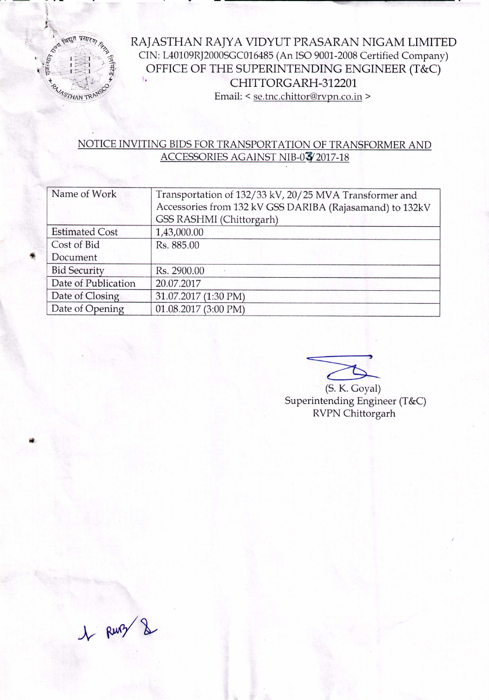

RAJASTHAN RAJYA VIDYUT PRASARAN NIGAM LIMITED CIN: L40109R]2000SGC016485 (An ISO 9001-2008 Certified Company) OFFICE OF THE SUPERINTENDING ENGINEER (T&C) CHITTORGARH-312201 Email: < se.tnc.chittor@rvpn.co.in >

## NOTICE INVITING BIDS FOR TRANSPORT ATION OF TRANSFORMER AND ACCESSORIES AGAINST NIB-03/2017-18

| Name of Work          | Transportation of 132/33 kV, 20/25 MVA Transformer and<br>Accessories from 132 kV GSS DARIBA (Rajasamand) to 132kV<br>GSS RASHMI (Chittorgarh) |
|-----------------------|------------------------------------------------------------------------------------------------------------------------------------------------|
| <b>Estimated Cost</b> | 1,43,000.00                                                                                                                                    |
| Cost of Bid           | Rs. 885.00                                                                                                                                     |
| Document              |                                                                                                                                                |
| <b>Bid Security</b>   | Rs. 2900.00                                                                                                                                    |
| Date of Publication   | 20.07.2017                                                                                                                                     |
| Date of Closing       | 31.07.2017 (1:30 PM)                                                                                                                           |
| Date of Opening       | 01.08.2017 (3:00 PM)                                                                                                                           |

(S. K. Goyal) Superintending Engineer (T&C) RVPN Chittorgarh

1 Runz &